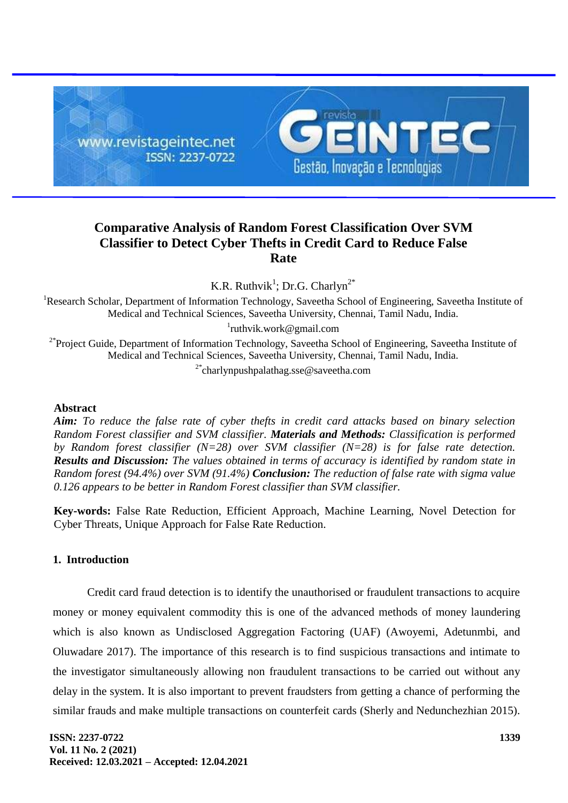

# **Comparative Analysis of Random Forest Classification Over SVM Classifier to Detect Cyber Thefts in Credit Card to Reduce False Rate**

K.R. Ruthvik<sup>1</sup>; Dr.G. Charlyn<sup>2\*</sup>

<sup>1</sup>Research Scholar, Department of Information Technology, Saveetha School of Engineering, Saveetha Institute of Medical and Technical Sciences, Saveetha University, Chennai, Tamil Nadu, India.

1 ruthvik.work@gmail.com

<sup>2\*</sup>Project Guide, Department of Information Technology, Saveetha School of Engineering, Saveetha Institute of Medical and Technical Sciences, Saveetha University, Chennai, Tamil Nadu, India.

2\*charlynpushpalathag.sse@saveetha.com

# **Abstract**

*Aim: To reduce the false rate of cyber thefts in credit card attacks based on binary selection Random Forest classifier and SVM classifier. Materials and Methods: Classification is performed by Random forest classifier (N=28) over SVM classifier (N=28) is for false rate detection. Results and Discussion: The values obtained in terms of accuracy is identified by random state in Random forest (94.4%) over SVM (91.4%) Conclusion: The reduction of false rate with sigma value 0.126 appears to be better in Random Forest classifier than SVM classifier.*

**Key-words:** False Rate Reduction, Efficient Approach, Machine Learning, Novel Detection for Cyber Threats, Unique Approach for False Rate Reduction.

### **1. Introduction**

Credit card fraud detection is to identify the unauthorised or fraudulent transactions to acquire money or money equivalent commodity this is one of the advanced methods of money laundering which is also known as Undisclosed Aggregation Factoring (UAF) (Awoyemi, Adetunmbi, and Oluwadare 2017). The importance of this research is to find suspicious transactions and intimate to the investigator simultaneously allowing non fraudulent transactions to be carried out without any delay in the system. It is also important to prevent fraudsters from getting a chance of performing the similar frauds and make multiple transactions on counterfeit cards (Sherly and Nedunchezhian 2015).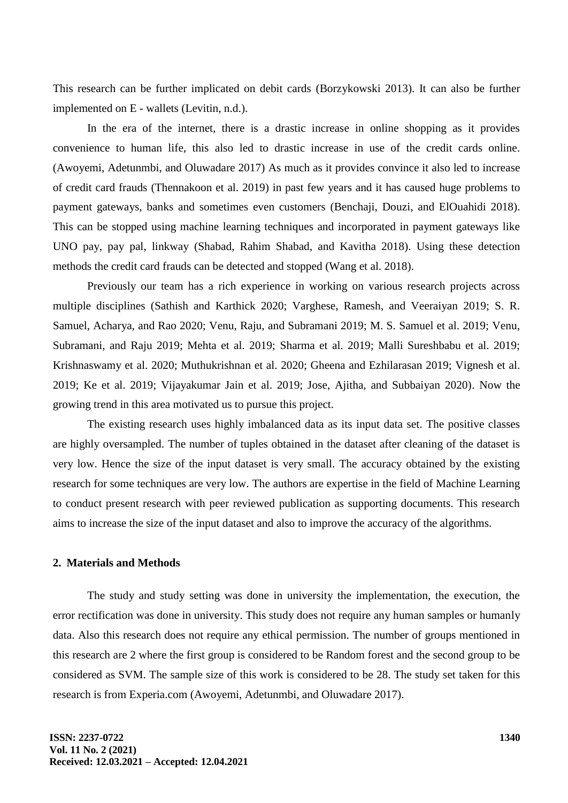This research can be further implicated on debit cards (Borzykowski 2013). It can also be further implemented on E - wallets (Levitin, n.d.).

In the era of the internet, there is a drastic increase in online shopping as it provides convenience to human life, this also led to drastic increase in use of the credit cards online. (Awoyemi, Adetunmbi, and Oluwadare 2017) As much as it provides convince it also led to increase of credit card frauds (Thennakoon et al. 2019) in past few years and it has caused huge problems to payment gateways, banks and sometimes even customers (Benchaji, Douzi, and ElOuahidi 2018). This can be stopped using machine learning techniques and incorporated in payment gateways like UNO pay, pay pal, linkway (Shabad, Rahim Shabad, and Kavitha 2018). Using these detection methods the credit card frauds can be detected and stopped (Wang et al. 2018).

Previously our team has a rich experience in working on various research projects across multiple disciplines (Sathish and Karthick 2020; Varghese, Ramesh, and Veeraiyan 2019; S. R. Samuel, Acharya, and Rao 2020; Venu, Raju, and Subramani 2019; M. S. Samuel et al. 2019; Venu, Subramani, and Raju 2019; Mehta et al. 2019; Sharma et al. 2019; Malli Sureshbabu et al. 2019; Krishnaswamy et al. 2020; Muthukrishnan et al. 2020; Gheena and Ezhilarasan 2019; Vignesh et al. 2019; Ke et al. 2019; Vijayakumar Jain et al. 2019; Jose, Ajitha, and Subbaiyan 2020). Now the growing trend in this area motivated us to pursue this project.

The existing research uses highly imbalanced data as its input data set. The positive classes are highly oversampled. The number of tuples obtained in the dataset after cleaning of the dataset is very low. Hence the size of the input dataset is very small. The accuracy obtained by the existing research for some techniques are very low. The authors are expertise in the field of Machine Learning to conduct present research with peer reviewed publication as supporting documents. This research aims to increase the size of the input dataset and also to improve the accuracy of the algorithms.

# **2. Materials and Methods**

The study and study setting was done in university the implementation, the execution, the error rectification was done in university. This study does not require any human samples or humanly data. Also this research does not require any ethical permission. The number of groups mentioned in this research are 2 where the first group is considered to be Random forest and the second group to be considered as SVM. The sample size of this work is considered to be 28. The study set taken for this research is from Experia.com (Awoyemi, Adetunmbi, and Oluwadare 2017).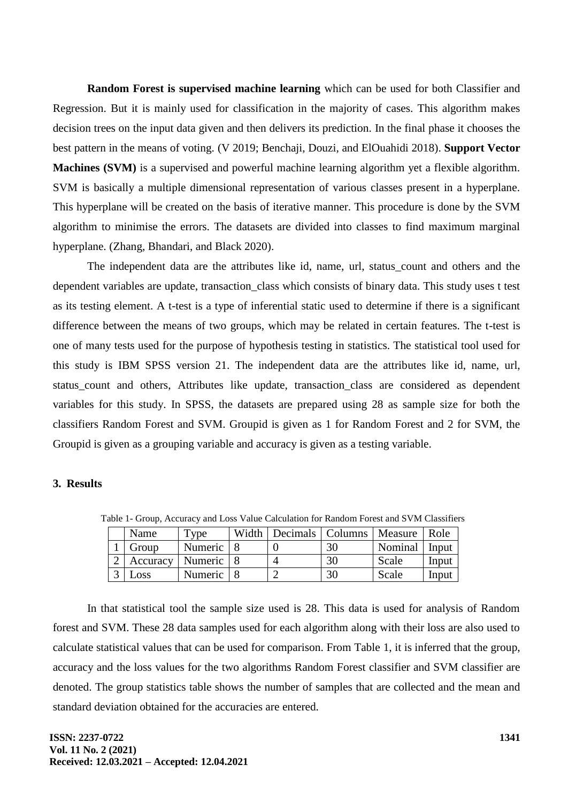**Random Forest is supervised machine learning** which can be used for both Classifier and Regression. But it is mainly used for classification in the majority of cases. This algorithm makes decision trees on the input data given and then delivers its prediction. In the final phase it chooses the best pattern in the means of voting. (V 2019; Benchaji, Douzi, and ElOuahidi 2018). **Support Vector Machines (SVM)** is a supervised and powerful machine learning algorithm yet a flexible algorithm. SVM is basically a multiple dimensional representation of various classes present in a hyperplane. This hyperplane will be created on the basis of iterative manner. This procedure is done by the SVM algorithm to minimise the errors. The datasets are divided into classes to find maximum marginal hyperplane. (Zhang, Bhandari, and Black 2020).

The independent data are the attributes like id, name, url, status\_count and others and the dependent variables are update, transaction class which consists of binary data. This study uses t test as its testing element. A t-test is a type of inferential static used to determine if there is a significant difference between the means of two groups, which may be related in certain features. The t-test is one of many tests used for the purpose of hypothesis testing in statistics. The statistical tool used for this study is IBM SPSS version 21. The independent data are the attributes like id, name, url, status count and others, Attributes like update, transaction class are considered as dependent variables for this study. In SPSS, the datasets are prepared using 28 as sample size for both the classifiers Random Forest and SVM. Groupid is given as 1 for Random Forest and 2 for SVM, the Groupid is given as a grouping variable and accuracy is given as a testing variable.

#### **3. Results**

|  | Name        | l vne       | Width I | Decimals   Columns | Measure | Role  |
|--|-------------|-------------|---------|--------------------|---------|-------|
|  | Group       | Numeric     |         |                    | Nominal | Input |
|  | Accuracy    | Numeric   8 |         |                    | Scale   | Input |
|  | <b>LOSS</b> | Numeric   8 |         |                    | Scale   | Input |

Table 1- Group, Accuracy and Loss Value Calculation for Random Forest and SVM Classifiers

In that statistical tool the sample size used is 28. This data is used for analysis of Random forest and SVM. These 28 data samples used for each algorithm along with their loss are also used to calculate statistical values that can be used for comparison. From Table 1, it is inferred that the group, accuracy and the loss values for the two algorithms Random Forest classifier and SVM classifier are denoted. The group statistics table shows the number of samples that are collected and the mean and standard deviation obtained for the accuracies are entered.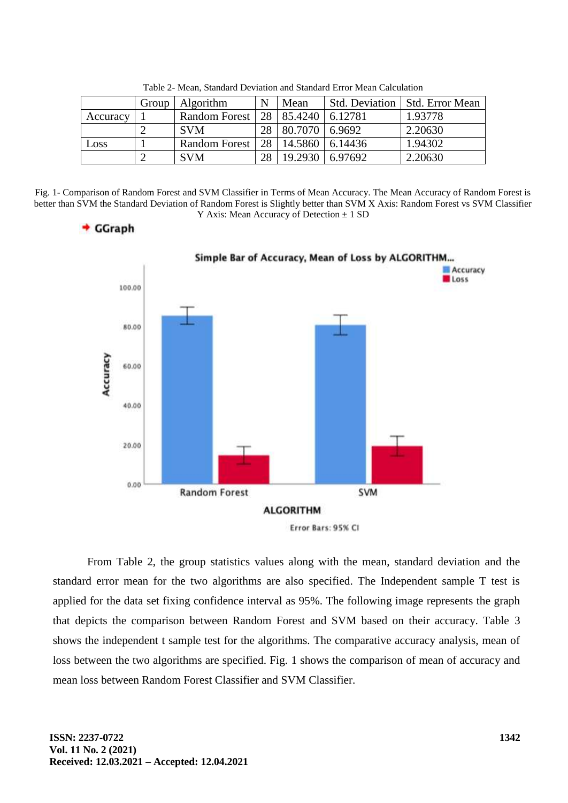|          | Group | <b>Algorithm</b> | N  | Mean           |          | Std. Deviation   Std. Error Mean |
|----------|-------|------------------|----|----------------|----------|----------------------------------|
| Accuracy |       | Random Forest    | 28 | 85.4240        | 16.12781 | 1.93778                          |
|          |       | <b>SVM</b>       | 28 | 80.7070 6.9692 |          | 2.20630                          |
| Loss     |       | Random Forest    | 28 | 14.5860        | 6.14436  | 1.94302                          |
|          |       | <b>SVM</b>       | 28 | 19.2930        | 6.97692  | 2.20630                          |

Table 2- Mean, Standard Deviation and Standard Error Mean Calculation

Fig. 1- Comparison of Random Forest and SVM Classifier in Terms of Mean Accuracy. The Mean Accuracy of Random Forest is better than SVM the Standard Deviation of Random Forest is Slightly better than SVM X Axis: Random Forest vs SVM Classifier Y Axis: Mean Accuracy of Detection  $\pm$  1 SD



 $\div$  GGraph

From Table 2, the group statistics values along with the mean, standard deviation and the standard error mean for the two algorithms are also specified. The Independent sample T test is applied for the data set fixing confidence interval as 95%. The following image represents the graph that depicts the comparison between Random Forest and SVM based on their accuracy. Table 3 shows the independent t sample test for the algorithms. The comparative accuracy analysis, mean of loss between the two algorithms are specified. Fig. 1 shows the comparison of mean of accuracy and mean loss between Random Forest Classifier and SVM Classifier.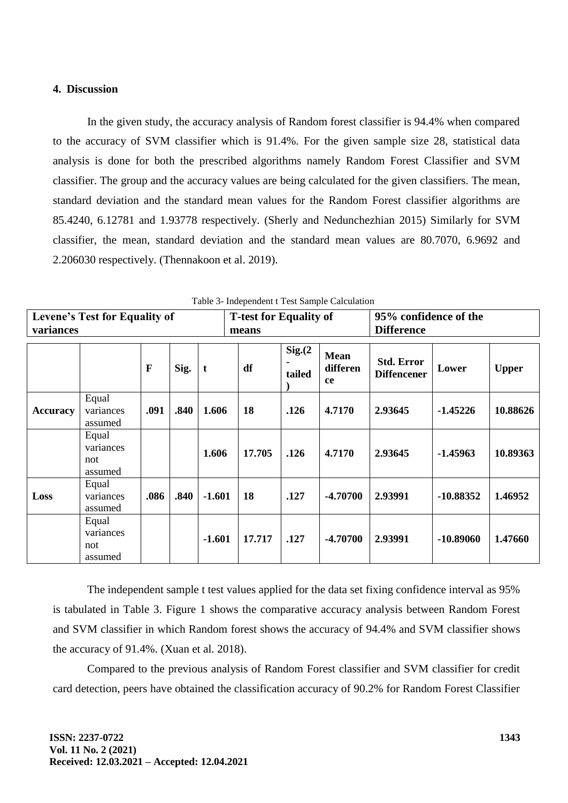# **4. Discussion**

In the given study, the accuracy analysis of Random forest classifier is 94.4% when compared to the accuracy of SVM classifier which is 91.4%. For the given sample size 28, statistical data analysis is done for both the prescribed algorithms namely Random Forest Classifier and SVM classifier. The group and the accuracy values are being calculated for the given classifiers. The mean, standard deviation and the standard mean values for the Random Forest classifier algorithms are 85.4240, 6.12781 and 1.93778 respectively. (Sherly and Nedunchezhian 2015) Similarly for SVM classifier, the mean, standard deviation and the standard mean values are 80.7070, 6.9692 and 2.206030 respectively. (Thennakoon et al. 2019).

| Levene's Test for Equality of<br>variances |                                      |              |      |          | <b>T-test for Equality of</b><br>means |                    |                               | 95% confidence of the<br><b>Difference</b> |             |              |
|--------------------------------------------|--------------------------------------|--------------|------|----------|----------------------------------------|--------------------|-------------------------------|--------------------------------------------|-------------|--------------|
|                                            |                                      | $\mathbf{F}$ | Sig. | t        | df                                     | Sig. (2)<br>tailed | <b>Mean</b><br>differen<br>ce | <b>Std. Error</b><br><b>Diffencener</b>    | Lower       | <b>Upper</b> |
| <b>Accuracy</b>                            | Equal<br>variances<br>assumed        | .091         | .840 | 1.606    | 18                                     | .126               | 4.7170                        | 2.93645                                    | $-1.45226$  | 10.88626     |
|                                            | Equal<br>variances<br>not<br>assumed |              |      | 1.606    | 17.705                                 | .126               | 4.7170                        | 2.93645                                    | $-1.45963$  | 10.89363     |
| Loss                                       | Equal<br>variances<br>assumed        | .086         | .840 | $-1.601$ | 18                                     | .127               | $-4.70700$                    | 2.93991                                    | $-10.88352$ | 1.46952      |
|                                            | Equal<br>variances<br>not<br>assumed |              |      | $-1.601$ | 17.717                                 | .127               | $-4.70700$                    | 2.93991                                    | $-10.89060$ | 1.47660      |

Table 3- Independent t Test Sample Calculation

The independent sample t test values applied for the data set fixing confidence interval as 95% is tabulated in Table 3. Figure 1 shows the comparative accuracy analysis between Random Forest and SVM classifier in which Random forest shows the accuracy of 94.4% and SVM classifier shows the accuracy of 91.4%. (Xuan et al. 2018).

Compared to the previous analysis of Random Forest classifier and SVM classifier for credit card detection, peers have obtained the classification accuracy of 90.2% for Random Forest Classifier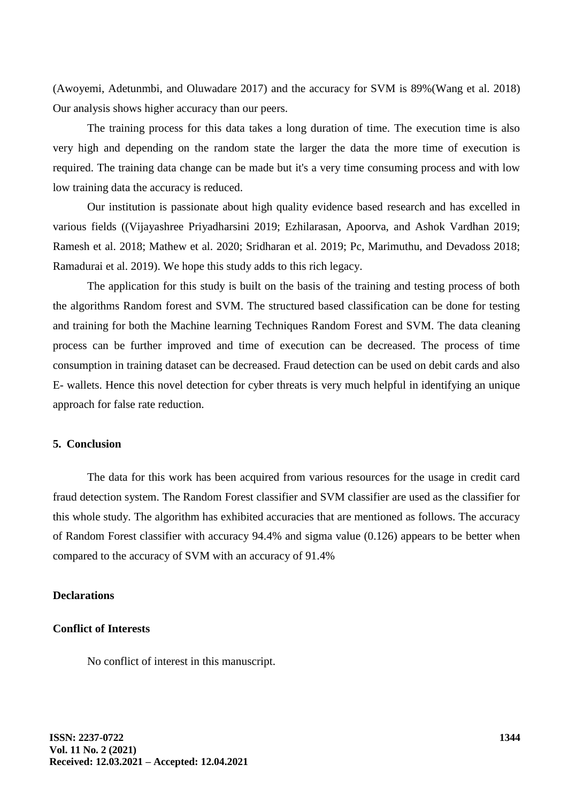(Awoyemi, Adetunmbi, and Oluwadare 2017) and the accuracy for SVM is 89%(Wang et al. 2018) Our analysis shows higher accuracy than our peers.

The training process for this data takes a long duration of time. The execution time is also very high and depending on the random state the larger the data the more time of execution is required. The training data change can be made but it's a very time consuming process and with low low training data the accuracy is reduced.

Our institution is passionate about high quality evidence based research and has excelled in various fields ((Vijayashree Priyadharsini 2019; Ezhilarasan, Apoorva, and Ashok Vardhan 2019; Ramesh et al. 2018; Mathew et al. 2020; Sridharan et al. 2019; Pc, Marimuthu, and Devadoss 2018; Ramadurai et al. 2019). We hope this study adds to this rich legacy.

The application for this study is built on the basis of the training and testing process of both the algorithms Random forest and SVM. The structured based classification can be done for testing and training for both the Machine learning Techniques Random Forest and SVM. The data cleaning process can be further improved and time of execution can be decreased. The process of time consumption in training dataset can be decreased. Fraud detection can be used on debit cards and also E- wallets. Hence this novel detection for cyber threats is very much helpful in identifying an unique approach for false rate reduction.

# **5. Conclusion**

The data for this work has been acquired from various resources for the usage in credit card fraud detection system. The Random Forest classifier and SVM classifier are used as the classifier for this whole study. The algorithm has exhibited accuracies that are mentioned as follows. The accuracy of Random Forest classifier with accuracy 94.4% and sigma value (0.126) appears to be better when compared to the accuracy of SVM with an accuracy of 91.4%

#### **Declarations**

# **Conflict of Interests**

No conflict of interest in this manuscript.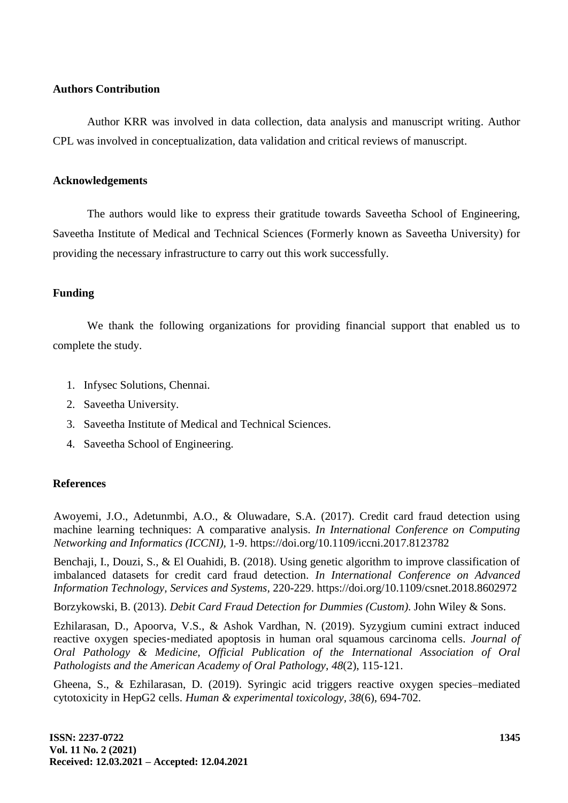# **Authors Contribution**

Author KRR was involved in data collection, data analysis and manuscript writing. Author CPL was involved in conceptualization, data validation and critical reviews of manuscript.

#### **Acknowledgements**

The authors would like to express their gratitude towards Saveetha School of Engineering, Saveetha Institute of Medical and Technical Sciences (Formerly known as Saveetha University) for providing the necessary infrastructure to carry out this work successfully.

# **Funding**

We thank the following organizations for providing financial support that enabled us to complete the study.

- 1. Infysec Solutions, Chennai.
- 2. Saveetha University.
- 3. Saveetha Institute of Medical and Technical Sciences.
- 4. Saveetha School of Engineering.

# **References**

Awoyemi, J.O., Adetunmbi, A.O., & Oluwadare, S.A. (2017). Credit card fraud detection using machine learning techniques: A comparative analysis. *In International Conference on Computing Networking and Informatics (ICCNI),* 1-9. https://doi.org/10.1109/iccni.2017.8123782

Benchaji, I., Douzi, S., & El Ouahidi, B. (2018). Using genetic algorithm to improve classification of imbalanced datasets for credit card fraud detection. *In International Conference on Advanced Information Technology, Services and Systems,* 220-229. https://doi.org/10.1109/csnet.2018.8602972

Borzykowski, B. (2013). *Debit Card Fraud Detection for Dummies (Custom)*. John Wiley & Sons.

Ezhilarasan, D., Apoorva, V.S., & Ashok Vardhan, N. (2019). Syzygium cumini extract induced reactive oxygen species‐mediated apoptosis in human oral squamous carcinoma cells. *Journal of Oral Pathology & Medicine, Official Publication of the International Association of Oral Pathologists and the American Academy of Oral Pathology, 48*(2), 115-121.

Gheena, S., & Ezhilarasan, D. (2019). Syringic acid triggers reactive oxygen species–mediated cytotoxicity in HepG2 cells. *Human & experimental toxicology, 38*(6), 694-702.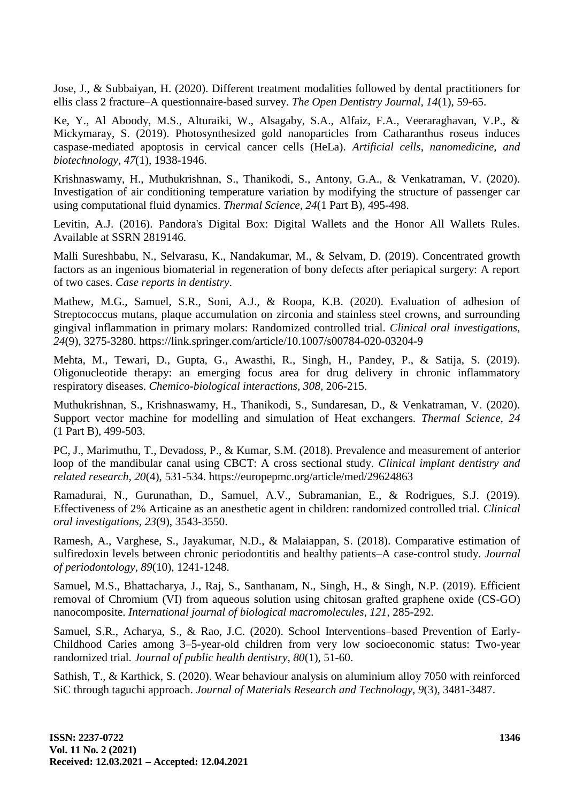Jose, J., & Subbaiyan, H. (2020). Different treatment modalities followed by dental practitioners for ellis class 2 fracture–A questionnaire-based survey. *The Open Dentistry Journal, 14*(1), 59-65.

Ke, Y., Al Aboody, M.S., Alturaiki, W., Alsagaby, S.A., Alfaiz, F.A., Veeraraghavan, V.P., & Mickymaray, S. (2019). Photosynthesized gold nanoparticles from Catharanthus roseus induces caspase-mediated apoptosis in cervical cancer cells (HeLa). *Artificial cells, nanomedicine, and biotechnology, 47*(1), 1938-1946.

Krishnaswamy, H., Muthukrishnan, S., Thanikodi, S., Antony, G.A., & Venkatraman, V. (2020). Investigation of air conditioning temperature variation by modifying the structure of passenger car using computational fluid dynamics. *Thermal Science, 24*(1 Part B), 495-498.

Levitin, A.J. (2016). Pandora's Digital Box: Digital Wallets and the Honor All Wallets Rules. Available at SSRN 2819146.

Malli Sureshbabu, N., Selvarasu, K., Nandakumar, M., & Selvam, D. (2019). Concentrated growth factors as an ingenious biomaterial in regeneration of bony defects after periapical surgery: A report of two cases. *Case reports in dentistry*.

Mathew, M.G., Samuel, S.R., Soni, A.J., & Roopa, K.B. (2020). Evaluation of adhesion of Streptococcus mutans, plaque accumulation on zirconia and stainless steel crowns, and surrounding gingival inflammation in primary molars: Randomized controlled trial. *Clinical oral investigations, 24*(9), 3275-3280. https://link.springer.com/article/10.1007/s00784-020-03204-9

Mehta, M., Tewari, D., Gupta, G., Awasthi, R., Singh, H., Pandey, P., & Satija, S. (2019). Oligonucleotide therapy: an emerging focus area for drug delivery in chronic inflammatory respiratory diseases. *Chemico-biological interactions, 308,* 206-215.

Muthukrishnan, S., Krishnaswamy, H., Thanikodi, S., Sundaresan, D., & Venkatraman, V. (2020). Support vector machine for modelling and simulation of Heat exchangers. *Thermal Science, 24*  (1 Part B), 499-503.

PC, J., Marimuthu, T., Devadoss, P., & Kumar, S.M. (2018). Prevalence and measurement of anterior loop of the mandibular canal using CBCT: A cross sectional study. *Clinical implant dentistry and related research, 20*(4), 531-534. https://europepmc.org/article/med/29624863

Ramadurai, N., Gurunathan, D., Samuel, A.V., Subramanian, E., & Rodrigues, S.J. (2019). Effectiveness of 2% Articaine as an anesthetic agent in children: randomized controlled trial. *Clinical oral investigations, 23*(9), 3543-3550.

Ramesh, A., Varghese, S., Jayakumar, N.D., & Malaiappan, S. (2018). Comparative estimation of sulfiredoxin levels between chronic periodontitis and healthy patients–A case-control study. *Journal of periodontology, 89*(10), 1241-1248.

Samuel, M.S., Bhattacharya, J., Raj, S., Santhanam, N., Singh, H., & Singh, N.P. (2019). Efficient removal of Chromium (VI) from aqueous solution using chitosan grafted graphene oxide (CS-GO) nanocomposite. *International journal of biological macromolecules, 121,* 285-292.

Samuel, S.R., Acharya, S., & Rao, J.C. (2020). School Interventions–based Prevention of Early-Childhood Caries among 3–5-year-old children from very low socioeconomic status: Two-year randomized trial. *Journal of public health dentistry, 80*(1), 51-60.

Sathish, T., & Karthick, S. (2020). Wear behaviour analysis on aluminium alloy 7050 with reinforced SiC through taguchi approach. *Journal of Materials Research and Technology, 9*(3), 3481-3487.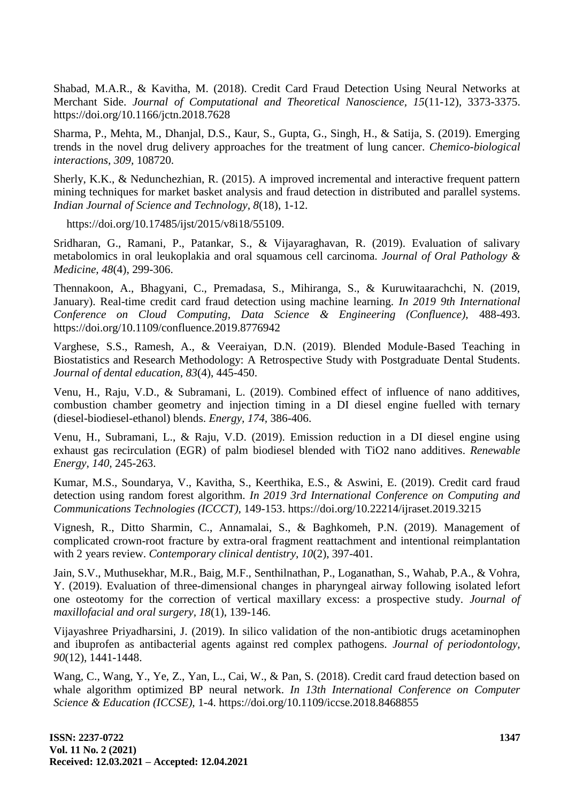Shabad, M.A.R., & Kavitha, M. (2018). Credit Card Fraud Detection Using Neural Networks at Merchant Side. *Journal of Computational and Theoretical Nanoscience, 15*(11-12), 3373-3375. https://doi.org/10.1166/jctn.2018.7628

Sharma, P., Mehta, M., Dhanjal, D.S., Kaur, S., Gupta, G., Singh, H., & Satija, S. (2019). Emerging trends in the novel drug delivery approaches for the treatment of lung cancer. *Chemico-biological interactions, 309,* 108720.

Sherly, K.K., & Nedunchezhian, R. (2015). A improved incremental and interactive frequent pattern mining techniques for market basket analysis and fraud detection in distributed and parallel systems. *Indian Journal of Science and Technology, 8*(18), 1-12.

https://doi.org/10.17485/ijst/2015/v8i18/55109.

Sridharan, G., Ramani, P., Patankar, S., & Vijayaraghavan, R. (2019). Evaluation of salivary metabolomics in oral leukoplakia and oral squamous cell carcinoma. *Journal of Oral Pathology & Medicine, 48*(4), 299-306.

Thennakoon, A., Bhagyani, C., Premadasa, S., Mihiranga, S., & Kuruwitaarachchi, N. (2019, January). Real-time credit card fraud detection using machine learning. *In 2019 9th International Conference on Cloud Computing, Data Science & Engineering (Confluence),* 488-493. https://doi.org/10.1109/confluence.2019.8776942

Varghese, S.S., Ramesh, A., & Veeraiyan, D.N. (2019). Blended Module-Based Teaching in Biostatistics and Research Methodology: A Retrospective Study with Postgraduate Dental Students. *Journal of dental education, 83*(4), 445-450.

Venu, H., Raju, V.D., & Subramani, L. (2019). Combined effect of influence of nano additives, combustion chamber geometry and injection timing in a DI diesel engine fuelled with ternary (diesel-biodiesel-ethanol) blends. *Energy, 174,* 386-406.

Venu, H., Subramani, L., & Raju, V.D. (2019). Emission reduction in a DI diesel engine using exhaust gas recirculation (EGR) of palm biodiesel blended with TiO2 nano additives. *Renewable Energy, 140,* 245-263.

Kumar, M.S., Soundarya, V., Kavitha, S., Keerthika, E.S., & Aswini, E. (2019). Credit card fraud detection using random forest algorithm. *In 2019 3rd International Conference on Computing and Communications Technologies (ICCCT),* 149-153. https://doi.org/10.22214/ijraset.2019.3215

Vignesh, R., Ditto Sharmin, C., Annamalai, S., & Baghkomeh, P.N. (2019). Management of complicated crown-root fracture by extra-oral fragment reattachment and intentional reimplantation with 2 years review. *Contemporary clinical dentistry, 10*(2), 397-401.

Jain, S.V., Muthusekhar, M.R., Baig, M.F., Senthilnathan, P., Loganathan, S., Wahab, P.A., & Vohra, Y. (2019). Evaluation of three-dimensional changes in pharyngeal airway following isolated lefort one osteotomy for the correction of vertical maxillary excess: a prospective study. *Journal of maxillofacial and oral surgery, 18*(1), 139-146.

Vijayashree Priyadharsini, J. (2019). In silico validation of the non-antibiotic drugs acetaminophen and ibuprofen as antibacterial agents against red complex pathogens. *Journal of periodontology, 90*(12), 1441-1448.

Wang, C., Wang, Y., Ye, Z., Yan, L., Cai, W., & Pan, S. (2018). Credit card fraud detection based on whale algorithm optimized BP neural network. *In 13th International Conference on Computer Science & Education (ICCSE),* 1-4. https://doi.org/10.1109/iccse.2018.8468855